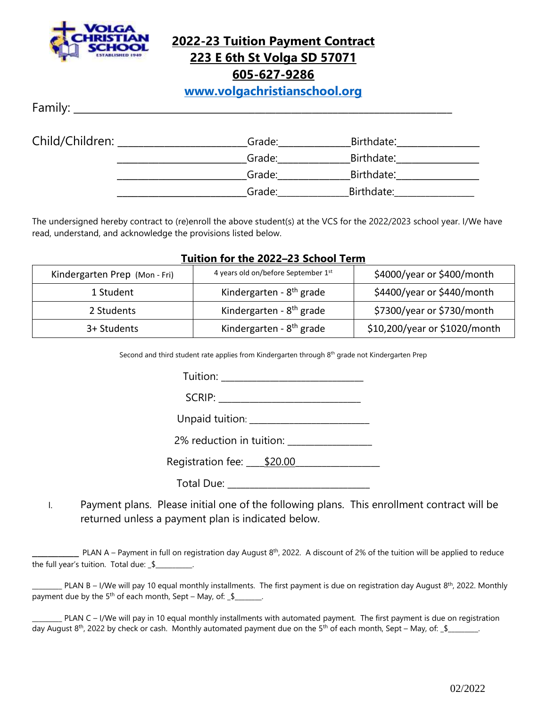

**2022-23 Tuition Payment Contract 223 E 6th St Volga SD 57071**

**605-627-9286**

**[www.volgachristianschool.org](http://www.volgachristianschool.org/)**

 $Family:$ 

| Child/Children: | Grade: | Birthdate: |  |
|-----------------|--------|------------|--|
|                 | Grade: | Birthdate: |  |
|                 | Grade: | Birthdate: |  |
|                 | Grade: | Birthdate: |  |

The undersigned hereby contract to (re)enroll the above student(s) at the VCS for the 2022/2023 school year. I/We have read, understand, and acknowledge the provisions listed below.

| Tuition for the 2022–23 School Term |                                      |                               |  |  |  |
|-------------------------------------|--------------------------------------|-------------------------------|--|--|--|
| Kindergarten Prep (Mon - Fri)       | 4 years old on/before September 1st  | \$4000/year or \$400/month    |  |  |  |
| 1 Student                           | Kindergarten - 8 <sup>th</sup> grade | \$4400/year or \$440/month    |  |  |  |
| 2 Students                          | Kindergarten - 8 <sup>th</sup> grade | \$7300/year or \$730/month    |  |  |  |
| 3+ Students                         | Kindergarten - 8 <sup>th</sup> grade | \$10,200/year or \$1020/month |  |  |  |

**Tuition for the 2022–23 School Term**

Second and third student rate applies from Kindergarten through 8th grade not Kindergarten Prep

Tuition: \_\_\_\_\_\_\_\_\_\_\_\_\_\_\_\_\_\_\_\_\_\_\_\_\_\_\_\_\_\_\_\_

 $SCRIP:$ 

Unpaid tuition: \_\_\_\_\_\_\_\_\_\_\_\_\_\_\_\_\_\_\_\_\_\_\_\_\_\_\_

2% reduction in tuition: 2% reduction in tuition:

Registration fee:  $$20.00$ 

Total Due: \_\_\_\_\_\_\_\_\_\_\_\_\_\_\_\_\_\_\_\_\_\_\_\_\_\_\_\_\_\_\_\_

I. Payment plans. Please initial one of the following plans. This enrollment contract will be returned unless a payment plan is indicated below.

 $\_$  PLAN A – Payment in full on registration day August 8<sup>th</sup>, 2022. A discount of 2% of the tuition will be applied to reduce the full year's tuition. Total due: \_\$\_\_\_\_\_\_\_\_\_\_\_.

**DETET THE STAN B** – I/We will pay 10 equal monthly installments. The first payment is due on registration day August 8<sup>th</sup>, 2022. Monthly payment due by the  $5<sup>th</sup>$  of each month, Sept – May, of:  $$$ 

PLAN C – I/We will pay in 10 equal monthly installments with automated payment. The first payment is due on registration day August 8<sup>th</sup>, 2022 by check or cash. Monthly automated payment due on the 5<sup>th</sup> of each month, Sept – May, of: \_\$\_\_\_\_\_\_\_\_.